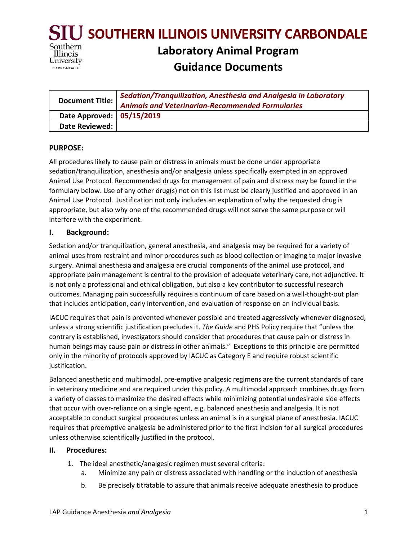

| Document Title:           | Sedation/Tranquilization, Anesthesia and Analgesia in Laboratory<br><b>Animals and Veterinarian-Recommended Formularies</b> |
|---------------------------|-----------------------------------------------------------------------------------------------------------------------------|
| Date Approved: 05/15/2019 |                                                                                                                             |
| Date Reviewed:            |                                                                                                                             |

#### **PURPOSE:**

All procedures likely to cause pain or distress in animals must be done under appropriate sedation/tranquilization, anesthesia and/or analgesia unless specifically exempted in an approved Animal Use Protocol. Recommended drugs for management of pain and distress may be found in the formulary below. Use of any other drug(s) not on this list must be clearly justified and approved in an Animal Use Protocol. Justification not only includes an explanation of why the requested drug is appropriate, but also why one of the recommended drugs will not serve the same purpose or will interfere with the experiment.

#### **I. Background:**

Sedation and/or tranquilization, general anesthesia, and analgesia may be required for a variety of animal uses from restraint and minor procedures such as blood collection or imaging to major invasive surgery. Animal anesthesia and analgesia are crucial components of the animal use protocol, and appropriate pain management is central to the provision of adequate veterinary care, not adjunctive. It is not only a professional and ethical obligation, but also a key contributor to successful research outcomes. Managing pain successfully requires a continuum of care based on a well-thought-out plan that includes anticipation, early intervention, and evaluation of response on an individual basis.

IACUC requires that pain is prevented whenever possible and treated aggressively whenever diagnosed, unless a strong scientific justification precludes it. *The Guide* and PHS Policy require that "unless the contrary is established, investigators should consider that procedures that cause pain or distress in human beings may cause pain or distress in other animals." Exceptions to this principle are permitted only in the minority of protocols approved by IACUC as Category E and require robust scientific justification.

Balanced anesthetic and multimodal, pre-emptive analgesic regimens are the current standards of care in veterinary medicine and are required under this policy. A multimodal approach combines drugs from a variety of classes to maximize the desired effects while minimizing potential undesirable side effects that occur with over-reliance on a single agent, e.g. balanced anesthesia and analgesia. It is not acceptable to conduct surgical procedures unless an animal is in a surgical plane of anesthesia. IACUC requires that preemptive analgesia be administered prior to the first incision for all surgical procedures unless otherwise scientifically justified in the protocol.

#### **II. Procedures:**

- 1. The ideal anesthetic/analgesic regimen must several criteria:
	- a. Minimize any pain or distress associated with handling or the induction of anesthesia
	- b. Be precisely titratable to assure that animals receive adequate anesthesia to produce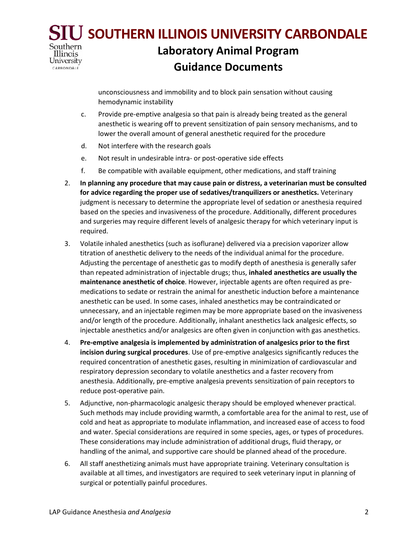#### **SOUTHERN ILLINOIS UNIVERSITY CARBONDALE** Southern **Laboratory Animal Program** Illinois University **Guidance Documents** CARBONDALE

unconsciousness and immobility and to block pain sensation without causing hemodynamic instability

- c. Provide pre-emptive analgesia so that pain is already being treated as the general anesthetic is wearing off to prevent sensitization of pain sensory mechanisms, and to lower the overall amount of general anesthetic required for the procedure
- d. Not interfere with the research goals
- e. Not result in undesirable intra- or post-operative side effects
- f. Be compatible with available equipment, other medications, and staff training
- 2. **In planning any procedure that may cause pain or distress, a veterinarian must be consulted for advice regarding the proper use of sedatives/tranquilizers or anesthetics.** Veterinary judgment is necessary to determine the appropriate level of sedation or anesthesia required based on the species and invasiveness of the procedure. Additionally, different procedures and surgeries may require different levels of analgesic therapy for which veterinary input is required.
- 3. Volatile inhaled anesthetics (such as isoflurane) delivered via a precision vaporizer allow titration of anesthetic delivery to the needs of the individual animal for the procedure. Adjusting the percentage of anesthetic gas to modify depth of anesthesia is generally safer than repeated administration of injectable drugs; thus, **inhaled anesthetics are usually the maintenance anesthetic of choice**. However, injectable agents are often required as premedications to sedate or restrain the animal for anesthetic induction before a maintenance anesthetic can be used. In some cases, inhaled anesthetics may be contraindicated or unnecessary, and an injectable regimen may be more appropriate based on the invasiveness and/or length of the procedure. Additionally, inhalant anesthetics lack analgesic effects, so injectable anesthetics and/or analgesics are often given in conjunction with gas anesthetics.
- 4. **Pre-emptive analgesia is implemented by administration of analgesics prior to the first incision during surgical procedures**. Use of pre-emptive analgesics significantly reduces the required concentration of anesthetic gases, resulting in minimization of cardiovascular and respiratory depression secondary to volatile anesthetics and a faster recovery from anesthesia. Additionally, pre-emptive analgesia prevents sensitization of pain receptors to reduce post-operative pain.
- 5. Adjunctive, non-pharmacologic analgesic therapy should be employed whenever practical. Such methods may include providing warmth, a comfortable area for the animal to rest, use of cold and heat as appropriate to modulate inflammation, and increased ease of access to food and water. Special considerations are required in some species, ages, or types of procedures. These considerations may include administration of additional drugs, fluid therapy, or handling of the animal, and supportive care should be planned ahead of the procedure.
- 6. All staff anesthetizing animals must have appropriate training. Veterinary consultation is available at all times, and investigators are required to seek veterinary input in planning of surgical or potentially painful procedures.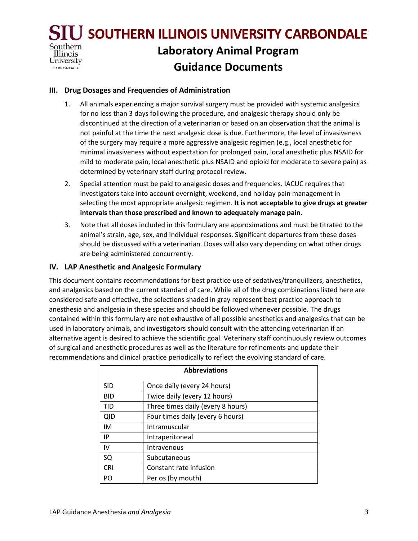

#### **III. Drug Dosages and Frequencies of Administration**

- 1. All animals experiencing a major survival surgery must be provided with systemic analgesics for no less than 3 days following the procedure, and analgesic therapy should only be discontinued at the direction of a veterinarian or based on an observation that the animal is not painful at the time the next analgesic dose is due. Furthermore, the level of invasiveness of the surgery may require a more aggressive analgesic regimen (e.g., local anesthetic for minimal invasiveness without expectation for prolonged pain, local anesthetic plus NSAID for mild to moderate pain, local anesthetic plus NSAID and opioid for moderate to severe pain) as determined by veterinary staff during protocol review.
- 2. Special attention must be paid to analgesic doses and frequencies. IACUC requires that investigators take into account overnight, weekend, and holiday pain management in selecting the most appropriate analgesic regimen. **It is not acceptable to give drugs at greater intervals than those prescribed and known to adequately manage pain.**
- 3. Note that all doses included in this formulary are approximations and must be titrated to the animal's strain, age, sex, and individual responses. Significant departures from these doses should be discussed with a veterinarian. Doses will also vary depending on what other drugs are being administered concurrently.

#### **IV. LAP Anesthetic and Analgesic Formulary**

This document contains recommendations for best practice use of sedatives/tranquilizers, anesthetics, and analgesics based on the current standard of care. While all of the drug combinations listed here are considered safe and effective, the selections shaded in gray represent best practice approach to anesthesia and analgesia in these species and should be followed whenever possible. The drugs contained within this formulary are not exhaustive of all possible anesthetics and analgesics that can be used in laboratory animals, and investigators should consult with the attending veterinarian if an alternative agent is desired to achieve the scientific goal. Veterinary staff continuously review outcomes of surgical and anesthetic procedures as well as the literature for refinements and update their recommendations and clinical practice periodically to reflect the evolving standard of care.

| <b>Abbreviations</b> |                                   |  |
|----------------------|-----------------------------------|--|
| <b>SID</b>           | Once daily (every 24 hours)       |  |
| <b>BID</b>           | Twice daily (every 12 hours)      |  |
| TID                  | Three times daily (every 8 hours) |  |
| <b>QID</b>           | Four times daily (every 6 hours)  |  |
| IM                   | Intramuscular                     |  |
| IP                   | Intraperitoneal                   |  |
| IV                   | Intravenous                       |  |
| SQ                   | Subcutaneous                      |  |
| <b>CRI</b>           | Constant rate infusion            |  |
| PO                   | Per os (by mouth)                 |  |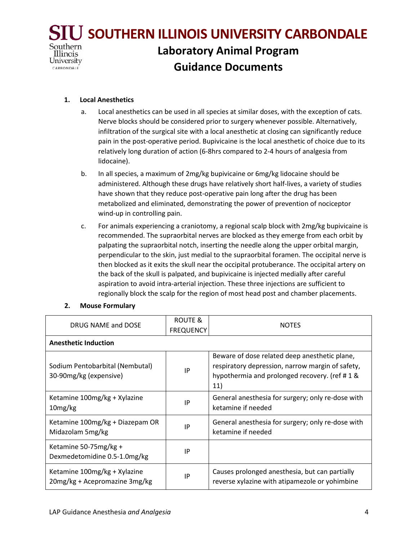

#### **1. Local Anesthetics**

- a. Local anesthetics can be used in all species at similar doses, with the exception of cats. Nerve blocks should be considered prior to surgery whenever possible. Alternatively, infiltration of the surgical site with a local anesthetic at closing can significantly reduce pain in the post-operative period. Bupivicaine is the local anesthetic of choice due to its relatively long duration of action (6-8hrs compared to 2-4 hours of analgesia from lidocaine).
- b. In all species, a maximum of 2mg/kg bupivicaine or 6mg/kg lidocaine should be administered. Although these drugs have relatively short half-lives, a variety of studies have shown that they reduce post-operative pain long after the drug has been metabolized and eliminated, demonstrating the power of prevention of nociceptor wind-up in controlling pain.
- c. For animals experiencing a craniotomy, a regional scalp block with 2mg/kg bupivicaine is recommended. The supraorbital nerves are blocked as they emerge from each orbit by palpating the supraorbital notch, inserting the needle along the upper orbital margin, perpendicular to the skin, just medial to the supraorbital foramen. The occipital nerve is then blocked as it exits the skull near the occipital protuberance. The occipital artery on the back of the skull is palpated, and bupivicaine is injected medially after careful aspiration to avoid intra-arterial injection. These three injections are sufficient to regionally block the scalp for the region of most head post and chamber placements.

#### **2. Mouse Formulary**

| DRUG NAME and DOSE                                            | ROUTE &<br><b>FREQUENCY</b> | <b>NOTES</b>                                                                                                                                              |
|---------------------------------------------------------------|-----------------------------|-----------------------------------------------------------------------------------------------------------------------------------------------------------|
| <b>Anesthetic Induction</b>                                   |                             |                                                                                                                                                           |
| Sodium Pentobarbital (Nembutal)<br>30-90mg/kg (expensive)     | IP                          | Beware of dose related deep anesthetic plane,<br>respiratory depression, narrow margin of safety,<br>hypothermia and prolonged recovery. (ref #1 &<br>11) |
| Ketamine 100mg/kg + Xylazine<br>10 <sub>mg/kg</sub>           | IP                          | General anesthesia for surgery; only re-dose with<br>ketamine if needed                                                                                   |
| Ketamine 100mg/kg + Diazepam OR<br>Midazolam 5mg/kg           | IP                          | General anesthesia for surgery; only re-dose with<br>ketamine if needed                                                                                   |
| Ketamine 50-75mg/kg +<br>Dexmedetomidine 0.5-1.0mg/kg         | IP                          |                                                                                                                                                           |
| Ketamine 100mg/kg + Xylazine<br>20mg/kg + Acepromazine 3mg/kg | IP                          | Causes prolonged anesthesia, but can partially<br>reverse xylazine with atipamezole or yohimbine                                                          |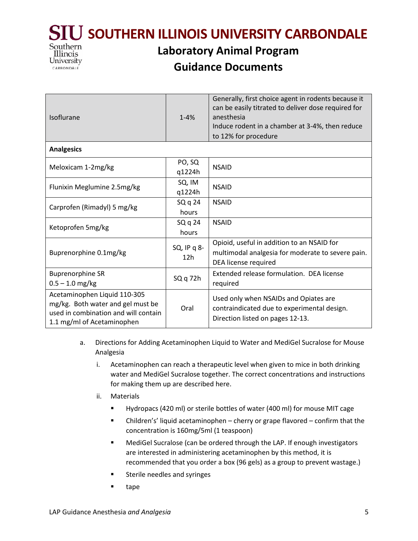**SOUTHERN ILLINOIS UNIVERSITY CARBONDALE**



# **Laboratory Animal Program Guidance Documents**

| Isoflurane                                                                                                                              | $1 - 4%$                       | Generally, first choice agent in rodents because it<br>can be easily titrated to deliver dose required for<br>anesthesia<br>Induce rodent in a chamber at 3-4%, then reduce<br>to 12% for procedure |  |  |
|-----------------------------------------------------------------------------------------------------------------------------------------|--------------------------------|-----------------------------------------------------------------------------------------------------------------------------------------------------------------------------------------------------|--|--|
| <b>Analgesics</b>                                                                                                                       |                                |                                                                                                                                                                                                     |  |  |
| Meloxicam 1-2mg/kg                                                                                                                      | PO, SQ<br>q1224h               | <b>NSAID</b>                                                                                                                                                                                        |  |  |
| Flunixin Meglumine 2.5mg/kg                                                                                                             | SQ, IM<br>q1224h               | <b>NSAID</b>                                                                                                                                                                                        |  |  |
| Carprofen (Rimadyl) 5 mg/kg                                                                                                             | SQ q 24<br>hours               | <b>NSAID</b>                                                                                                                                                                                        |  |  |
| Ketoprofen 5mg/kg                                                                                                                       | SQ q 24<br>hours               | <b>NSAID</b>                                                                                                                                                                                        |  |  |
| Buprenorphine 0.1mg/kg                                                                                                                  | SQ, IP q 8-<br>12 <sub>h</sub> | Opioid, useful in addition to an NSAID for<br>multimodal analgesia for moderate to severe pain.<br>DEA license required                                                                             |  |  |
| <b>Buprenorphine SR</b><br>$0.5 - 1.0$ mg/kg                                                                                            | $SQq$ 72h                      | Extended release formulation. DEA license<br>required                                                                                                                                               |  |  |
| Acetaminophen Liquid 110-305<br>mg/kg. Both water and gel must be<br>used in combination and will contain<br>1.1 mg/ml of Acetaminophen | Oral                           | Used only when NSAIDs and Opiates are<br>contraindicated due to experimental design.<br>Direction listed on pages 12-13.                                                                            |  |  |

- a. Directions for Adding Acetaminophen Liquid to Water and MediGel Sucralose for Mouse Analgesia
	- i. Acetaminophen can reach a therapeutic level when given to mice in both drinking water and MediGel Sucralose together. The correct concentrations and instructions for making them up are described here.
	- ii. Materials
		- Hydropacs (420 ml) or sterile bottles of water (400 ml) for mouse MIT cage
		- Children's' liquid acetaminophen cherry or grape flavored confirm that the concentration is 160mg/5ml (1 teaspoon)
		- **MediGel Sucralose (can be ordered through the LAP. If enough investigators** are interested in administering acetaminophen by this method, it is recommended that you order a box (96 gels) as a group to prevent wastage.)
		- **EXECUTE:** Sterile needles and syringes
		- **u** tape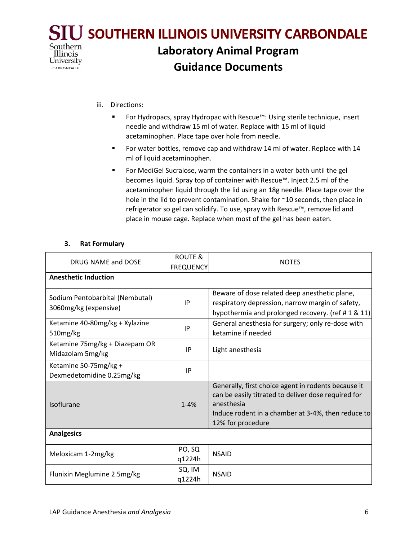

- iii. Directions:
	- For Hydropacs, spray Hydropac with Rescue™: Using sterile technique, insert needle and withdraw 15 ml of water. Replace with 15 ml of liquid acetaminophen. Place tape over hole from needle.
	- For water bottles, remove cap and withdraw 14 ml of water. Replace with 14 ml of liquid acetaminophen.
	- **FICT** For MediGel Sucralose, warm the containers in a water bath until the gel becomes liquid. Spray top of container with Rescue™. Inject 2.5 ml of the acetaminophen liquid through the lid using an 18g needle. Place tape over the hole in the lid to prevent contamination. Shake for ~10 seconds, then place in refrigerator so gel can solidify. To use, spray with Rescue™, remove lid and place in mouse cage. Replace when most of the gel has been eaten.

#### **3. Rat Formulary**

| DRUG NAME and DOSE                                       | ROUTE &<br><b>FREQUENCY</b> | <b>NOTES</b>                                                                                                                                                                                        |  |  |
|----------------------------------------------------------|-----------------------------|-----------------------------------------------------------------------------------------------------------------------------------------------------------------------------------------------------|--|--|
| <b>Anesthetic Induction</b>                              |                             |                                                                                                                                                                                                     |  |  |
| Sodium Pentobarbital (Nembutal)<br>3060mg/kg (expensive) | IP                          | Beware of dose related deep anesthetic plane,<br>respiratory depression, narrow margin of safety,<br>hypothermia and prolonged recovery. (ref #1 & 11)                                              |  |  |
| Ketamine 40-80mg/kg + Xylazine<br>510mg/kg               | IP                          | General anesthesia for surgery; only re-dose with<br>ketamine if needed                                                                                                                             |  |  |
| Ketamine 75mg/kg + Diazepam OR<br>Midazolam 5mg/kg       | IP                          | Light anesthesia                                                                                                                                                                                    |  |  |
| Ketamine 50-75mg/kg +<br>Dexmedetomidine 0.25mg/kg       | IP                          |                                                                                                                                                                                                     |  |  |
| Isoflurane                                               | $1 - 4%$                    | Generally, first choice agent in rodents because it<br>can be easily titrated to deliver dose required for<br>anesthesia<br>Induce rodent in a chamber at 3-4%, then reduce to<br>12% for procedure |  |  |
| <b>Analgesics</b>                                        |                             |                                                                                                                                                                                                     |  |  |
| Meloxicam 1-2mg/kg                                       | PO, SQ<br>q1224h            | <b>NSAID</b>                                                                                                                                                                                        |  |  |
| Flunixin Meglumine 2.5mg/kg                              | SQ, IM<br>q1224h            | <b>NSAID</b>                                                                                                                                                                                        |  |  |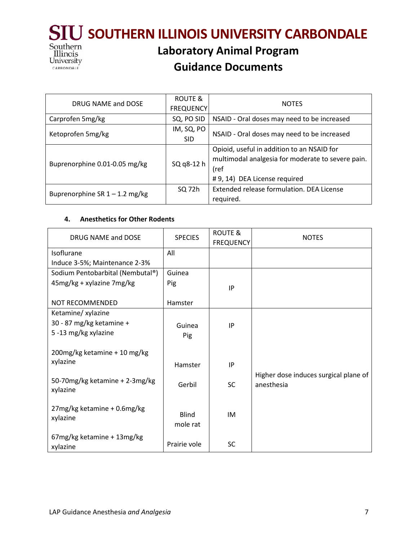

| DRUG NAME and DOSE               | ROUTE &<br><b>FREQUENCY</b> | <b>NOTES</b>                                                                                                                             |
|----------------------------------|-----------------------------|------------------------------------------------------------------------------------------------------------------------------------------|
| Carprofen 5mg/kg                 | SQ, PO SID                  | NSAID - Oral doses may need to be increased                                                                                              |
| Ketoprofen 5mg/kg                | IM, SQ, PO<br><b>SID</b>    | NSAID - Oral doses may need to be increased                                                                                              |
| Buprenorphine 0.01-0.05 mg/kg    | SQ q8-12 h                  | Opioid, useful in addition to an NSAID for<br>multimodal analgesia for moderate to severe pain.<br>(ref<br># 9, 14) DEA License required |
| Buprenorphine SR $1 - 1.2$ mg/kg | SQ 72h                      | Extended release formulation. DEA License<br>required.                                                                                   |

#### **4. Anesthetics for Other Rodents**

| DRUG NAME and DOSE                         | <b>SPECIES</b>           | ROUTE &          | <b>NOTES</b>                                        |
|--------------------------------------------|--------------------------|------------------|-----------------------------------------------------|
|                                            |                          | <b>FREQUENCY</b> |                                                     |
| Isoflurane                                 | All                      |                  |                                                     |
| Induce 3-5%; Maintenance 2-3%              |                          |                  |                                                     |
| Sodium Pentobarbital (Nembutal®)           | Guinea                   |                  |                                                     |
| 45mg/kg + xylazine 7mg/kg                  | Pig                      | IP               |                                                     |
| NOT RECOMMENDED                            | Hamster                  |                  |                                                     |
| Ketamine/ xylazine                         |                          |                  |                                                     |
| 30 - 87 mg/kg ketamine +                   | Guinea                   | IP               |                                                     |
| 5 -13 mg/kg xylazine                       | Pig                      |                  |                                                     |
| 200mg/kg ketamine + 10 mg/kg               |                          |                  |                                                     |
| xylazine                                   | Hamster                  | IP               |                                                     |
| 50-70mg/kg ketamine + 2-3mg/kg<br>xylazine | Gerbil                   | <b>SC</b>        | Higher dose induces surgical plane of<br>anesthesia |
| 27mg/kg ketamine + 0.6mg/kg<br>xylazine    | <b>Blind</b><br>mole rat | IM               |                                                     |
| 67mg/kg ketamine + 13mg/kg<br>xylazine     | Prairie vole             | <b>SC</b>        |                                                     |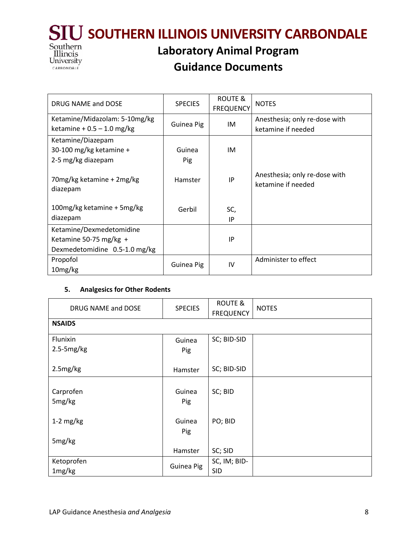

# **Guidance Documents**

| DRUG NAME and DOSE                    | <b>SPECIES</b> | ROUTE &<br><b>FREQUENCY</b> | <b>NOTES</b>                                        |
|---------------------------------------|----------------|-----------------------------|-----------------------------------------------------|
| Ketamine/Midazolam: 5-10mg/kg         | Guinea Pig     | IM                          | Anesthesia; only re-dose with                       |
| ketamine + $0.5 - 1.0$ mg/kg          |                |                             | ketamine if needed                                  |
| Ketamine/Diazepam                     |                |                             |                                                     |
| 30-100 mg/kg ketamine +               | Guinea         | IM                          |                                                     |
| 2-5 mg/kg diazepam                    | Pig            |                             |                                                     |
| 70mg/kg ketamine + 2mg/kg<br>diazepam | Hamster        | IP                          | Anesthesia; only re-dose with<br>ketamine if needed |
| 100mg/kg ketamine + 5mg/kg            | Gerbil         | SC,                         |                                                     |
| diazepam                              |                | IP                          |                                                     |
| Ketamine/Dexmedetomidine              |                |                             |                                                     |
| Ketamine 50-75 mg/kg +                |                | IP                          |                                                     |
| Dexmedetomidine 0.5-1.0 mg/kg         |                |                             |                                                     |
| Propofol                              | Guinea Pig     | IV                          | Administer to effect                                |
| 10mg/kg                               |                |                             |                                                     |

## **5. Analgesics for Other Rodents**

| DRUG NAME and DOSE  | <b>SPECIES</b> | <b>ROUTE &amp;</b><br><b>FREQUENCY</b> | <b>NOTES</b> |
|---------------------|----------------|----------------------------------------|--------------|
| <b>NSAIDS</b>       |                |                                        |              |
| Flunixin            | Guinea         | SC; BID-SID                            |              |
| $2.5 - 5mg/kg$      | Pig            |                                        |              |
| 2.5mg/kg            | Hamster        | SC; BID-SID                            |              |
| Carprofen<br>5mg/kg | Guinea<br>Pig  | SC; BID                                |              |
| $1-2$ mg/kg         | Guinea<br>Pig  | PO; BID                                |              |
| 5mg/kg              |                |                                        |              |
|                     | Hamster        | SC; SID                                |              |
| Ketoprofen          | Guinea Pig     | SC, IM; BID-                           |              |
| 1mg/kg              |                | <b>SID</b>                             |              |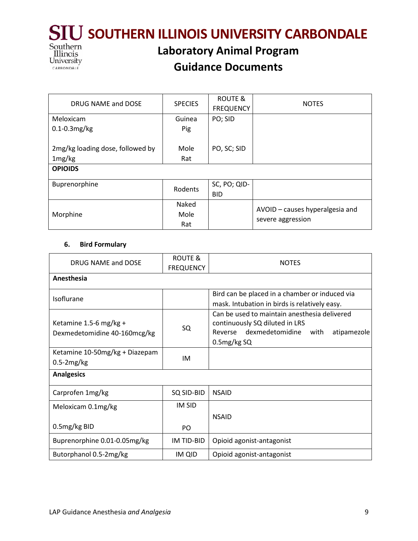

## **Guidance Documents**

| DRUG NAME and DOSE               | <b>SPECIES</b> | ROUTE &          | <b>NOTES</b>                    |  |
|----------------------------------|----------------|------------------|---------------------------------|--|
|                                  |                | <b>FREQUENCY</b> |                                 |  |
| Meloxicam                        | Guinea         | PO; SID          |                                 |  |
| $0.1 - 0.3$ mg/kg                | Pig            |                  |                                 |  |
|                                  |                |                  |                                 |  |
| 2mg/kg loading dose, followed by | Mole           | PO, SC; SID      |                                 |  |
| 1mg/kg                           | Rat            |                  |                                 |  |
| <b>OPIOIDS</b>                   |                |                  |                                 |  |
|                                  |                |                  |                                 |  |
| Buprenorphine                    | Rodents        | SC, PO; QID-     |                                 |  |
|                                  |                | <b>BID</b>       |                                 |  |
|                                  | Naked          |                  |                                 |  |
| Morphine                         | Mole           |                  | AVOID - causes hyperalgesia and |  |
|                                  | Rat            |                  | severe aggression               |  |

## **6. Bird Formulary**

CARBONDALE

| DRUG NAME and DOSE                                     | <b>ROUTE &amp;</b><br><b>FREQUENCY</b> | <b>NOTES</b>                                                                                                                                 |  |
|--------------------------------------------------------|----------------------------------------|----------------------------------------------------------------------------------------------------------------------------------------------|--|
| Anesthesia                                             |                                        |                                                                                                                                              |  |
| Isoflurane                                             |                                        | Bird can be placed in a chamber or induced via<br>mask. Intubation in birds is relatively easy.                                              |  |
| Ketamine 1.5-6 mg/kg +<br>Dexmedetomidine 40-160mcg/kg | SQ                                     | Can be used to maintain anesthesia delivered<br>continuously SQ diluted in LRS<br>Reverse dexmedetomidine with<br>atipamezole<br>0.5mg/kg SQ |  |
| Ketamine 10-50mg/kg + Diazepam<br>$0.5-2mg/kg$         | IM                                     |                                                                                                                                              |  |
| <b>Analgesics</b>                                      |                                        |                                                                                                                                              |  |
| Carprofen 1mg/kg                                       | SQ SID-BID                             | <b>NSAID</b>                                                                                                                                 |  |
| Meloxicam 0.1mg/kg<br>0.5mg/kg BID                     | <b>IM SID</b><br>PO                    | <b>NSAID</b>                                                                                                                                 |  |
| Buprenorphine 0.01-0.05mg/kg                           | IM TID-BID                             | Opioid agonist-antagonist                                                                                                                    |  |
| Butorphanol 0.5-2mg/kg                                 | IM QID                                 | Opioid agonist-antagonist                                                                                                                    |  |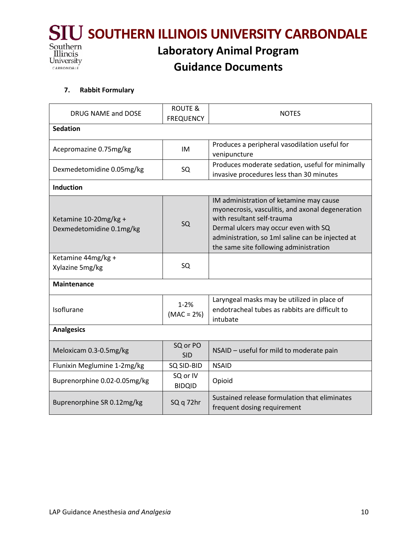

#### **7. Rabbit Formulary**

| DRUG NAME and DOSE                                | <b>ROUTE &amp;</b><br><b>FREQUENCY</b> | <b>NOTES</b>                                                                                                                                                                                                                                                    |  |  |
|---------------------------------------------------|----------------------------------------|-----------------------------------------------------------------------------------------------------------------------------------------------------------------------------------------------------------------------------------------------------------------|--|--|
| <b>Sedation</b>                                   |                                        |                                                                                                                                                                                                                                                                 |  |  |
| Acepromazine 0.75mg/kg                            | IM                                     | Produces a peripheral vasodilation useful for<br>venipuncture                                                                                                                                                                                                   |  |  |
| Dexmedetomidine 0.05mg/kg                         | SQ                                     | Produces moderate sedation, useful for minimally<br>invasive procedures less than 30 minutes                                                                                                                                                                    |  |  |
| <b>Induction</b>                                  |                                        |                                                                                                                                                                                                                                                                 |  |  |
| Ketamine 10-20mg/kg +<br>Dexmedetomidine 0.1mg/kg | SQ                                     | IM administration of ketamine may cause<br>myonecrosis, vasculitis, and axonal degeneration<br>with resultant self-trauma<br>Dermal ulcers may occur even with SQ<br>administration, so 1ml saline can be injected at<br>the same site following administration |  |  |
| Ketamine 44mg/kg +<br>Xylazine 5mg/kg             | SQ                                     |                                                                                                                                                                                                                                                                 |  |  |
| <b>Maintenance</b>                                |                                        |                                                                                                                                                                                                                                                                 |  |  |
| Isoflurane                                        | $1 - 2%$<br>$(MAC = 2%)$               | Laryngeal masks may be utilized in place of<br>endotracheal tubes as rabbits are difficult to<br>intubate                                                                                                                                                       |  |  |
| <b>Analgesics</b>                                 |                                        |                                                                                                                                                                                                                                                                 |  |  |
| Meloxicam 0.3-0.5mg/kg                            | SQ or PO<br><b>SID</b>                 | NSAID - useful for mild to moderate pain                                                                                                                                                                                                                        |  |  |
| Flunixin Meglumine 1-2mg/kg                       | SQ SID-BID                             | <b>NSAID</b>                                                                                                                                                                                                                                                    |  |  |
| Buprenorphine 0.02-0.05mg/kg                      | SQ or IV<br><b>BIDQID</b>              | Opioid                                                                                                                                                                                                                                                          |  |  |
| Buprenorphine SR 0.12mg/kg                        | SQ q 72hr                              | Sustained release formulation that eliminates<br>frequent dosing requirement                                                                                                                                                                                    |  |  |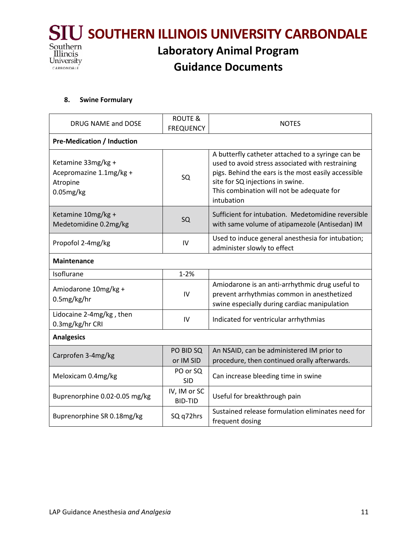

#### **8. Swine Formulary**

| DRUG NAME and DOSE                                                     | <b>ROUTE &amp;</b><br><b>FREQUENCY</b> | <b>NOTES</b>                                                                                                                                                                                                                                                |  |  |
|------------------------------------------------------------------------|----------------------------------------|-------------------------------------------------------------------------------------------------------------------------------------------------------------------------------------------------------------------------------------------------------------|--|--|
| <b>Pre-Medication / Induction</b>                                      |                                        |                                                                                                                                                                                                                                                             |  |  |
| Ketamine 33mg/kg +<br>Acepromazine 1.1mg/kg +<br>Atropine<br>0.05mg/kg | SQ                                     | A butterfly catheter attached to a syringe can be<br>used to avoid stress associated with restraining<br>pigs. Behind the ears is the most easily accessible<br>site for SQ injections in swine.<br>This combination will not be adequate for<br>intubation |  |  |
| Ketamine 10mg/kg +<br>Medetomidine 0.2mg/kg                            | SQ                                     | Sufficient for intubation. Medetomidine reversible<br>with same volume of atipamezole (Antisedan) IM                                                                                                                                                        |  |  |
| Propofol 2-4mg/kg                                                      | IV                                     | Used to induce general anesthesia for intubation;<br>administer slowly to effect                                                                                                                                                                            |  |  |
| <b>Maintenance</b>                                                     |                                        |                                                                                                                                                                                                                                                             |  |  |
| Isoflurane                                                             | $1 - 2%$                               |                                                                                                                                                                                                                                                             |  |  |
| Amiodarone 10mg/kg +<br>0.5mg/kg/hr                                    | IV                                     | Amiodarone is an anti-arrhythmic drug useful to<br>prevent arrhythmias common in anesthetized<br>swine especially during cardiac manipulation                                                                                                               |  |  |
| Lidocaine 2-4mg/kg, then<br>0.3mg/kg/hr CRI                            | IV                                     | Indicated for ventricular arrhythmias                                                                                                                                                                                                                       |  |  |
| <b>Analgesics</b>                                                      |                                        |                                                                                                                                                                                                                                                             |  |  |
| Carprofen 3-4mg/kg                                                     | PO BID SQ<br>or IM SID                 | An NSAID, can be administered IM prior to<br>procedure, then continued orally afterwards.                                                                                                                                                                   |  |  |
| Meloxicam 0.4mg/kg                                                     | PO or SQ<br><b>SID</b>                 | Can increase bleeding time in swine                                                                                                                                                                                                                         |  |  |
| Buprenorphine 0.02-0.05 mg/kg                                          | IV, IM or SC<br><b>BID-TID</b>         | Useful for breakthrough pain                                                                                                                                                                                                                                |  |  |
| Buprenorphine SR 0.18mg/kg                                             | SQ q72hrs                              | Sustained release formulation eliminates need for<br>frequent dosing                                                                                                                                                                                        |  |  |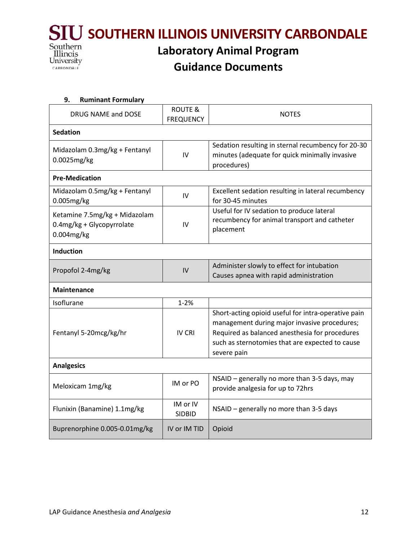

| 9.<br><b>Ruminant Formulary</b> |                    |                                                           |  |  |  |
|---------------------------------|--------------------|-----------------------------------------------------------|--|--|--|
| DRUG NAME and DOSE              | <b>ROUTE &amp;</b> | <b>NOTES</b>                                              |  |  |  |
|                                 | <b>FREQUENCY</b>   |                                                           |  |  |  |
| <b>Sedation</b>                 |                    |                                                           |  |  |  |
| Midazolam 0.3mg/kg + Fentanyl   |                    | Sedation resulting in sternal recumbency for 20-30        |  |  |  |
| 0.0025mg/kg                     | IV                 | minutes (adequate for quick minimally invasive            |  |  |  |
|                                 |                    | procedures)                                               |  |  |  |
| <b>Pre-Medication</b>           |                    |                                                           |  |  |  |
| Midazolam 0.5mg/kg + Fentanyl   | IV                 | Excellent sedation resulting in lateral recumbency        |  |  |  |
| 0.005mg/kg                      |                    | for 30-45 minutes                                         |  |  |  |
| Ketamine 7.5mg/kg + Midazolam   |                    | Useful for IV sedation to produce lateral                 |  |  |  |
| 0.4mg/kg + Glycopyrrolate       | IV                 | recumbency for animal transport and catheter<br>placement |  |  |  |
| 0.004mg/kg                      |                    |                                                           |  |  |  |
| <b>Induction</b>                |                    |                                                           |  |  |  |
| Propofol 2-4mg/kg               | IV                 | Administer slowly to effect for intubation                |  |  |  |
|                                 |                    | Causes apnea with rapid administration                    |  |  |  |
| <b>Maintenance</b>              |                    |                                                           |  |  |  |
| Isoflurane                      | $1 - 2%$           |                                                           |  |  |  |
| Fentanyl 5-20mcg/kg/hr          | <b>IV CRI</b>      | Short-acting opioid useful for intra-operative pain       |  |  |  |
|                                 |                    | management during major invasive procedures;              |  |  |  |
|                                 |                    | Required as balanced anesthesia for procedures            |  |  |  |
|                                 |                    | such as sternotomies that are expected to cause           |  |  |  |
|                                 |                    | severe pain                                               |  |  |  |
| <b>Analgesics</b>               |                    |                                                           |  |  |  |
| Meloxicam 1mg/kg                | IM or PO           | NSAID - generally no more than 3-5 days, may              |  |  |  |
|                                 |                    | provide analgesia for up to 72hrs                         |  |  |  |
| Flunixin (Banamine) 1.1mg/kg    | IM or IV           | NSAID - generally no more than 3-5 days                   |  |  |  |
|                                 | <b>SIDBID</b>      |                                                           |  |  |  |
| Buprenorphine 0.005-0.01mg/kg   | IV or IM TID       | Opioid                                                    |  |  |  |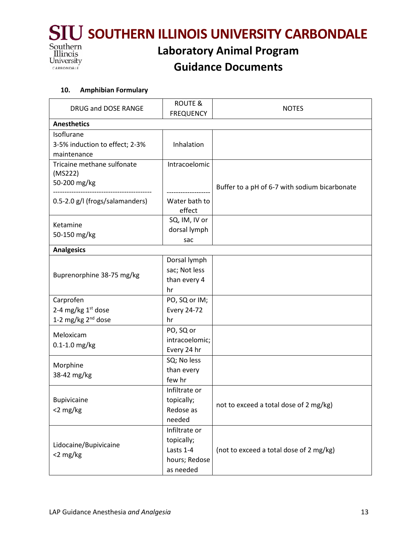

# **Guidance Documents**

#### **10. Amphibian Formulary**

| DRUG and DOSE RANGE                                                           | <b>ROUTE &amp;</b><br><b>FREQUENCY</b>                                 | <b>NOTES</b>                                  |
|-------------------------------------------------------------------------------|------------------------------------------------------------------------|-----------------------------------------------|
| <b>Anesthetics</b>                                                            |                                                                        |                                               |
| Isoflurane<br>3-5% induction to effect; 2-3%<br>maintenance                   | Inhalation                                                             |                                               |
| Tricaine methane sulfonate<br>(MS222)<br>50-200 mg/kg                         | Intracoelomic                                                          | Buffer to a pH of 6-7 with sodium bicarbonate |
| 0.5-2.0 g/l (frogs/salamanders)                                               | Water bath to<br>effect                                                |                                               |
| Ketamine<br>50-150 mg/kg                                                      | SQ, IM, IV or<br>dorsal lymph<br>sac                                   |                                               |
| <b>Analgesics</b>                                                             |                                                                        |                                               |
| Buprenorphine 38-75 mg/kg                                                     | Dorsal lymph<br>sac; Not less<br>than every 4<br>hr                    |                                               |
| Carprofen<br>2-4 mg/kg 1 <sup>st</sup> dose<br>1-2 mg/kg 2 <sup>nd</sup> dose | PO, SQ or IM;<br>Every 24-72<br>hr                                     |                                               |
| Meloxicam<br>$0.1 - 1.0$ mg/kg                                                | PO, SQ or<br>intracoelomic;<br>Every 24 hr                             |                                               |
| Morphine<br>38-42 mg/kg                                                       | SQ; No less<br>than every<br>few hr                                    |                                               |
| <b>Bupivicaine</b><br><2 mg/kg                                                | Infiltrate or<br>topically;<br>Redose as<br>needed                     | not to exceed a total dose of 2 mg/kg)        |
| Lidocaine/Bupivicaine<br><2 mg/kg                                             | Infiltrate or<br>topically;<br>Lasts 1-4<br>hours; Redose<br>as needed | (not to exceed a total dose of 2 mg/kg)       |